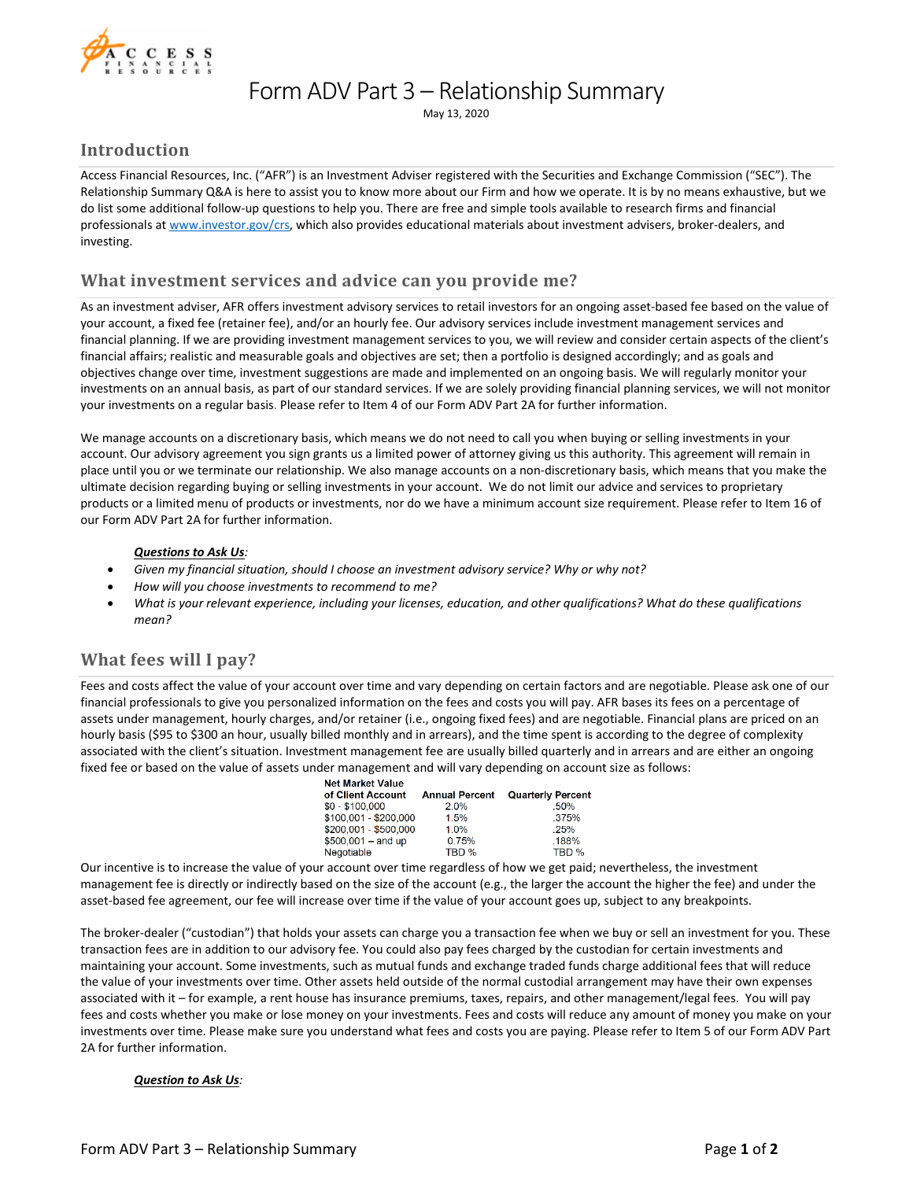

## Form ADV Part 3 – Relationship Summary

May 13, 2020

## **Introduction**

Access Financial Resources, Inc. ("AFR") is an Investment Adviser registered with the Securities and Exchange Commission ("SEC"). The Relationship Summary Q&A is here to assist you to know more about our Firm and how we operate. It is by no means exhaustive, but we do list some additional follow-up questions to help you. There are free and simple tools available to research firms and financial professionals a[t www.investor.gov/crs,](http://www.investor.gov/crs) which also provides educational materials about investment advisers, broker-dealers, and investing.

## **What investment services and advice can you provide me?**

As an investment adviser, AFR offers investment advisory services to retail investors for an ongoing asset-based fee based on the value of your account, a fixed fee (retainer fee), and/or an hourly fee. Our advisory services include investment management services and financial planning. If we are providing investment management services to you, we will review and consider certain aspects of the client's financial affairs; realistic and measurable goals and objectives are set; then a portfolio is designed accordingly; and as goals and objectives change over time, investment suggestions are made and implemented on an ongoing basis. We will regularly monitor your investments on an annual basis, as part of our standard services. If we are solely providing financial planning services, we will not monitor your investments on a regular basis. Please refer to Item 4 of our Form ADV Part 2A for further information.

We manage accounts on a discretionary basis, which means we do not need to call you when buying or selling investments in your account. Our advisory agreement you sign grants us a limited power of attorney giving us this authority. This agreement will remain in place until you or we terminate our relationship. We also manage accounts on a non-discretionary basis, which means that you make the ultimate decision regarding buying or selling investments in your account. We do not limit our advice and services to proprietary products or a limited menu of products or investments, nor do we have a minimum account size requirement. Please refer to Item 16 of our Form ADV Part 2A for further information.

#### *Questions to Ask Us:*

- *Given my financial situation, should I choose an investment advisory service? Why or why not?*
- *How will you choose investments to recommend to me?*
- *What is your relevant experience, including your licenses, education, and other qualifications? What do these qualifications mean?*

## **What fees will I pay?**

Fees and costs affect the value of your account over time and vary depending on certain factors and are negotiable. Please ask one of our financial professionals to give you personalized information on the fees and costs you will pay. AFR bases its fees on a percentage of assets under management, hourly charges, and/or retainer (i.e., ongoing fixed fees) and are negotiable. Financial plans are priced on an hourly basis (\$95 to \$300 an hour, usually billed monthly and in arrears), and the time spent is according to the degree of complexity associated with the client's situation. Investment management fee are usually billed quarterly and in arrears and are either an ongoing fixed fee or based on the value of assets under management and will vary depending on account size as follows:

| <b>Net Market Value</b> |                       |                          |
|-------------------------|-----------------------|--------------------------|
| of Client Account       | <b>Annual Percent</b> | <b>Quarterly Percent</b> |
| \$0 - \$100,000         | 2.0%                  | .50%                     |
| \$100,001 - \$200,000   | 1.5%                  | .375%                    |
| \$200.001 - \$500.000   | 1.0%                  | .25%                     |
| $$500,001 - and up$     | 0.75%                 | .188%                    |
| Negotiable              | TBD %                 | TBD %                    |
|                         |                       |                          |

Our incentive is to increase the value of your account over time regardless of how we get paid; nevertheless, the investment management fee is directly or indirectly based on the size of the account (e.g., the larger the account the higher the fee) and under the asset-based fee agreement, our fee will increase over time if the value of your account goes up, subject to any breakpoints.

The broker-dealer ("custodian") that holds your assets can charge you a transaction fee when we buy or sell an investment for you. These transaction fees are in addition to our advisory fee. You could also pay fees charged by the custodian for certain investments and maintaining your account. Some investments, such as mutual funds and exchange traded funds charge additional fees that will reduce the value of your investments over time. Other assets held outside of the normal custodial arrangement may have their own expenses associated with it – for example, a rent house has insurance premiums, taxes, repairs, and other management/legal fees. You will pay fees and costs whether you make or lose money on your investments. Fees and costs will reduce any amount of money you make on your investments over time. Please make sure you understand what fees and costs you are paying. Please refer to Item 5 of our Form ADV Part 2A for further information.

#### *Question to Ask Us:*